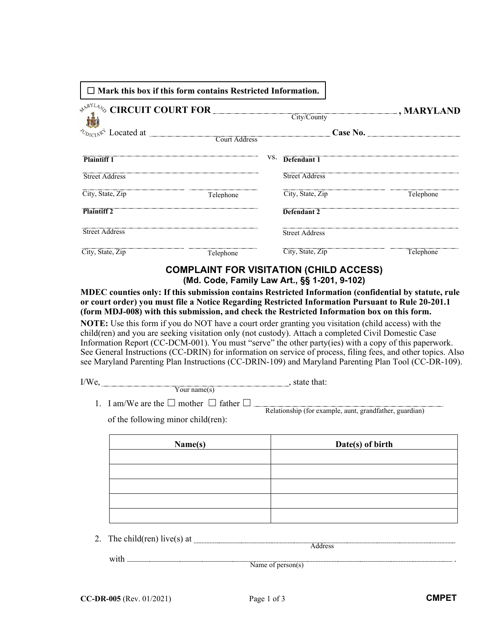| $\Box$ Mark this box if this form contains Restricted Information. |     |                         |                   |
|--------------------------------------------------------------------|-----|-------------------------|-------------------|
| $\delta_{Dirich}$ $\mathbb{R}^4$ Located at _<br>Court Address     |     | City/County<br>Case No. | $\Box$ , MARYLAND |
| <b>Plaintiff 1</b>                                                 | VS. | Defendant 1             |                   |
| <b>Street Address</b>                                              |     | <b>Street Address</b>   |                   |
| City, State, Zip<br>Telephone                                      |     | City, State, Zip        | Telephone         |
| <b>Plaintiff 2</b>                                                 |     | Defendant 2             |                   |
| <b>Street Address</b>                                              |     | <b>Street Address</b>   |                   |
| City, State, Zip<br>Telephone                                      |     | City, State, Zip        | Telephone         |

## **COMPLAINT FOR VISITATION (CHILD ACCESS) (Md. Code, Family Law Art., §§ 1-201, 9-102)**

**MDEC counties only: If this submission contains Restricted Information (confidential by statute, rule or court order) you must file a Notice Regarding Restricted Information Pursuant to Rule 20-201.1 (form MDJ-008) with this submission, and check the Restricted Information box on this form.** 

**NOTE:** Use this form if you do NOT have a court order granting you visitation (child access) with the child(ren) and you are seeking visitation only (not custody). Attach a completed Civil Domestic Case Information Report (CC-DCM-001). You must "serve" the other party(ies) with a copy of this paperwork. See General Instructions (CC-DRIN) for information on service of process, filing fees, and other topics. Also see Maryland Parenting Plan Instructions (CC-DRIN-109) and Maryland Parenting Plan Tool (CC-DR-109).

I/We, , state that: Your name $(s)$ 

1. I am/We are the  $\Box$  mother  $\Box$  father  $\Box$   $\Box$ Relationship (for example, aunt, grandfather, guardian)

of the following minor child(ren):

| Name(s) | Date(s) of birth |
|---------|------------------|
|         |                  |
|         |                  |
|         |                  |
|         |                  |
|         |                  |

2. The child(ren) live(s) at

with  $\frac{1}{\sqrt{1-\frac{1}{\sqrt{1-\frac{1}{\sqrt{1-\frac{1}{\sqrt{1-\frac{1}{\sqrt{1-\frac{1}{\sqrt{1-\frac{1}{\sqrt{1-\frac{1}{\sqrt{1-\frac{1}{\sqrt{1-\frac{1}{\sqrt{1-\frac{1}{\sqrt{1-\frac{1}{\sqrt{1-\frac{1}{\sqrt{1-\frac{1}{\sqrt{1-\frac{1}{\sqrt{1-\frac{1}{\sqrt{1-\frac{1}{\sqrt{1-\frac{1}{\sqrt{1-\frac{1}{\sqrt{1-\frac{1}{\sqrt{1-\frac{1}{\sqrt{1-\frac{1}{\sqrt{1-\frac{1}{\sqrt{1-\frac{1}{\sqrt{1$ 

Address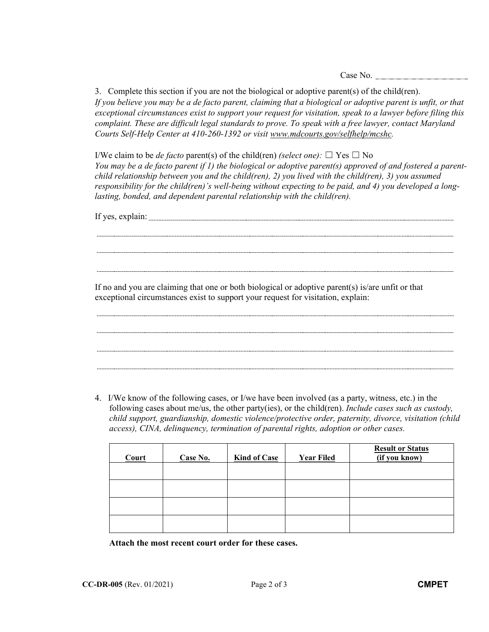Case No.

3. Complete this section if you are not the biological or adoptive parent(s) of the child(ren). *If you believe you may be a de facto parent, claiming that a biological or adoptive parent is unfit, or that exceptional circumstances exist to support your request for visitation, speak to a lawyer before filing this complaint. These are difficult legal standards to prove. To speak with a free lawyer, contact Maryland Courts Self-Help Center at 410-260-1392 or visit www.mdcourts.gov/selfhelp/mcshc.*

I/We claim to be *de facto* parent(s) of the child(ren) *(select one)*:  $\Box$  Yes  $\Box$  No *You may be a de facto parent if 1) the biological or adoptive parent(s) approved of and fostered a parentchild relationship between you and the child(ren), 2) you lived with the child(ren), 3) you assumed responsibility for the child(ren)'s well-being without expecting to be paid, and 4) you developed a longlasting, bonded, and dependent parental relationship with the child(ren).*

If yes, explain:

If no and you are claiming that one or both biological or adoptive parent(s) is/are unfit or that exceptional circumstances exist to support your request for visitation, explain:

4. I/We know of the following cases, or I/we have been involved (as a party, witness, etc.) in the following cases about me/us, the other party(ies), or the child(ren). *Include cases such as custody, child support, guardianship, domestic violence/protective order, paternity, divorce, visitation (child access), CINA, delinquency, termination of parental rights, adoption or other cases.*

| Court | Case No. | <b>Kind of Case</b> | <b>Year Filed</b> | <b>Result or Status</b><br>(if you know) |
|-------|----------|---------------------|-------------------|------------------------------------------|
|       |          |                     |                   |                                          |
|       |          |                     |                   |                                          |
|       |          |                     |                   |                                          |
|       |          |                     |                   |                                          |

**Attach the most recent court order for these cases.**